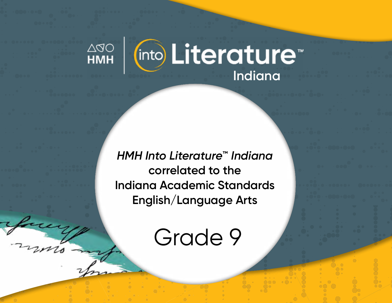

*HMH Into Literature***™** *Indiana* **correlated to the Indiana Academic Standards English/Language Arts** 

Grade 9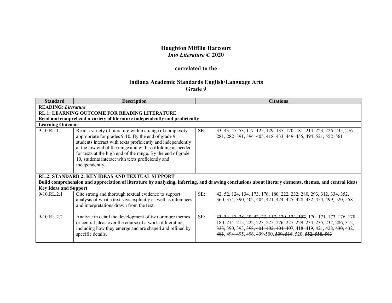## **Houghton Mifflin Harcourt** *Into Literature* **© 2020**

## **correlated to the**

## **Indiana Academic Standards English/Language Arts Grade 9**

| <b>Standard</b>                                                                                                                                                                                                  | <b>Description</b>                                                                                                                                                                                                                                                                                                                                                                  | <b>Citations</b>                                                                                                                                                                                                                                                                         |  |  |
|------------------------------------------------------------------------------------------------------------------------------------------------------------------------------------------------------------------|-------------------------------------------------------------------------------------------------------------------------------------------------------------------------------------------------------------------------------------------------------------------------------------------------------------------------------------------------------------------------------------|------------------------------------------------------------------------------------------------------------------------------------------------------------------------------------------------------------------------------------------------------------------------------------------|--|--|
|                                                                                                                                                                                                                  | <b>READING: Literature</b>                                                                                                                                                                                                                                                                                                                                                          |                                                                                                                                                                                                                                                                                          |  |  |
|                                                                                                                                                                                                                  | <b>RL.1: LEARNING OUTCOME FOR READING LITERATURE</b>                                                                                                                                                                                                                                                                                                                                |                                                                                                                                                                                                                                                                                          |  |  |
|                                                                                                                                                                                                                  | Read and comprehend a variety of literature independently and proficiently                                                                                                                                                                                                                                                                                                          |                                                                                                                                                                                                                                                                                          |  |  |
| <b>Learning Outcome</b>                                                                                                                                                                                          |                                                                                                                                                                                                                                                                                                                                                                                     |                                                                                                                                                                                                                                                                                          |  |  |
| $9-10.RL.1$                                                                                                                                                                                                      | Read a variety of literature within a range of complexity<br>appropriate for grades 9-10. By the end of grade 9,<br>students interact with texts proficiently and independently<br>at the low end of the range and with scaffolding as needed<br>for texts at the high end of the range. By the end of grade<br>10, students interact with texts proficiently and<br>independently. | SE:<br>33–43, 47–53, 117–125, 129–135, 170–181, 214–223, 226–235, 276–<br>281, 282-391, 394-405, 418-433, 449-455, 494-521, 552-561                                                                                                                                                      |  |  |
| <b>RL.2: STANDARD 2: KEY IDEAS AND TEXTUAL SUPPORT</b><br>Build comprehension and appreciation of literature by analyzing, inferring, and drawing conclusions about literary elements, themes, and central ideas |                                                                                                                                                                                                                                                                                                                                                                                     |                                                                                                                                                                                                                                                                                          |  |  |
| <b>Key Ideas and Support</b>                                                                                                                                                                                     |                                                                                                                                                                                                                                                                                                                                                                                     |                                                                                                                                                                                                                                                                                          |  |  |
| $9-10.RL.2.1$                                                                                                                                                                                                    | Cite strong and thorough textual evidence to support<br>analysis of what a text says explicitly as well as inferences<br>and interpretations drawn from the text.                                                                                                                                                                                                                   | SE:<br>42, 52, 124, 134, 173, 176, 180, 222, 232, 280, 293, 312, 334, 352,<br>360, 374, 390, 402, 404, 421, 424–425, 428, 432, 454, 499, 520, 558                                                                                                                                        |  |  |
| $9-10.RL.2.2$                                                                                                                                                                                                    | Analyze in detail the development of two or more themes<br>or central ideas over the course of a work of literature,<br>including how they emerge and are shaped and refined by<br>specific details.                                                                                                                                                                                | SE:<br>33 34, 37 38, 40 42, 73, 117, 120, 124, 157, 170 - 171, 173, 176, 178 -<br>180, 214–215, 222, 223, 225, 226–227, 229, 234–235, 237, 286, 312,<br>333, 390, 393, 398, 401, 402, 404, 407, 418-419, 421, 428, 430, 432,<br>481, 494–495, 496, 499-500, 509, 516, 520, 552, 558, 563 |  |  |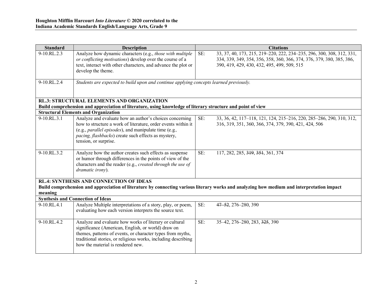| <b>Standard</b> | <b>Description</b>                                                                                                                                                                                                                                                               |     | <b>Citations</b>                                                                                                                                                                              |
|-----------------|----------------------------------------------------------------------------------------------------------------------------------------------------------------------------------------------------------------------------------------------------------------------------------|-----|-----------------------------------------------------------------------------------------------------------------------------------------------------------------------------------------------|
| 9-10.RL.2.3     | Analyze how dynamic characters (e.g., those with multiple<br>or conflicting motivations) develop over the course of a<br>text, interact with other characters, and advance the plot or<br>develop the theme.                                                                     | SE: | 33, 37, 40, 173, 215, 219-220, 222, 234-235, 296, 300, 308, 312, 331,<br>334, 339, 349, 354, 356, 358, 360, 366, 374, 376, 379, 380, 385, 386,<br>390, 419, 429, 430, 432, 495, 499, 509, 515 |
| 9-10.RL.2.4     | Students are expected to build upon and continue applying concepts learned previously.                                                                                                                                                                                           |     |                                                                                                                                                                                               |
|                 | <b>RL.3: STRUCTURAL ELEMENTS AND ORGANIZATION</b><br>Build comprehension and appreciation of literature, using knowledge of literary structure and point of view                                                                                                                 |     |                                                                                                                                                                                               |
|                 | <b>Structural Elements and Organization</b>                                                                                                                                                                                                                                      |     |                                                                                                                                                                                               |
| 9-10.RL.3.1     | Analyze and evaluate how an author's choices concerning<br>how to structure a work of literature, order events within it<br>(e.g., <i>parallel episodes</i> ), and manipulate time (e.g.,<br>pacing, flashbacks) create such effects as mystery,<br>tension, or surprise.        | SE: | 33, 36, 42, 117-118, 121, 124, 215-216, 220, 285-286, 290, 310, 312,<br>316, 319, 351, 360, 366, 374, 379, 390, 421, 424, 506                                                                 |
| 9-10.RL.3.2     | Analyze how the author creates such effects as suspense<br>or humor through differences in the points of view of the<br>characters and the reader (e.g., created through the use of<br>dramatic irony).                                                                          | SE: | 117, 282, 285, 319, 351, 361, 374                                                                                                                                                             |
|                 | <b>RL.4: SYNTHESIS AND CONNECTION OF IDEAS</b>                                                                                                                                                                                                                                   |     |                                                                                                                                                                                               |
|                 |                                                                                                                                                                                                                                                                                  |     | Build comprehension and appreciation of literature by connecting various literary works and analyzing how medium and interpretation impact                                                    |
| meaning         |                                                                                                                                                                                                                                                                                  |     |                                                                                                                                                                                               |
|                 | <b>Synthesis and Connection of Ideas</b>                                                                                                                                                                                                                                         |     |                                                                                                                                                                                               |
| 9-10.RL.4.1     | Analyze Multiple interpretations of a story, play, or poem,<br>evaluating how each version interprets the source text.                                                                                                                                                           | SE: | 47-52, 276-280, 390                                                                                                                                                                           |
| $9-10.RL.4.2$   | Analyze and evaluate how works of literary or cultural<br>significance (American, English, or world) draw on<br>themes, patterns of events, or character types from myths,<br>traditional stories, or religious works, including describing<br>how the material is rendered new. | SE: | 35-42, 276-280, 283, 325, 390                                                                                                                                                                 |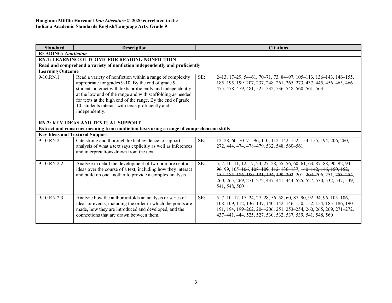| <b>Standard</b>                       | <b>Description</b>                                                                                                                                                                                                                                                                                                                                                                  |     | <b>Citations</b>                                                                                                                                                                                                                                                                                        |
|---------------------------------------|-------------------------------------------------------------------------------------------------------------------------------------------------------------------------------------------------------------------------------------------------------------------------------------------------------------------------------------------------------------------------------------|-----|---------------------------------------------------------------------------------------------------------------------------------------------------------------------------------------------------------------------------------------------------------------------------------------------------------|
| <b>READING: Nonfiction</b>            |                                                                                                                                                                                                                                                                                                                                                                                     |     |                                                                                                                                                                                                                                                                                                         |
|                                       | <b>RN.1: LEARNING OUTCOME FOR READING NONFICTION</b>                                                                                                                                                                                                                                                                                                                                |     |                                                                                                                                                                                                                                                                                                         |
|                                       | Read and comprehend a variety of nonfiction independently and proficiently                                                                                                                                                                                                                                                                                                          |     |                                                                                                                                                                                                                                                                                                         |
| <b>Learning Outcome</b>               |                                                                                                                                                                                                                                                                                                                                                                                     |     |                                                                                                                                                                                                                                                                                                         |
| 9-10.RN.1                             | Read a variety of nonfiction within a range of complexity<br>appropriate for grades 9-10. By the end of grade 9,<br>students interact with texts proficiently and independently<br>at the low end of the range and with scaffolding as needed<br>for texts at the high end of the range. By the end of grade<br>10, students interact with texts proficiently and<br>independently. | SE: | 2–13, 17–29, 54–61, 70–71, 73, 84–97, 105–113, 136–143, 146–155,<br>185-195, 199-207, 237, 248-261, 265-273, 437-445, 456-465, 466-<br>475, 478–479, 481, 525–532, 536–548, 560–561, 563                                                                                                                |
|                                       | RN.2: KEY IDEAS AND TEXTUAL SUPPORT                                                                                                                                                                                                                                                                                                                                                 |     |                                                                                                                                                                                                                                                                                                         |
|                                       | Extract and construct meaning from nonfiction texts using a range of comprehension skills                                                                                                                                                                                                                                                                                           |     |                                                                                                                                                                                                                                                                                                         |
| <b>Key Ideas and Textural Support</b> |                                                                                                                                                                                                                                                                                                                                                                                     |     |                                                                                                                                                                                                                                                                                                         |
| $9-10$ . RN. $2.1$                    | Cite strong and thorough textual evidence to support<br>analysis of what a text says explicitly as well as inferences<br>and interpretations drawn from the text.                                                                                                                                                                                                                   | SE: | 12, 28, 60, 70–71, 96, 110, 112, 142, 152, 154–155, 194, 206, 260,<br>272, 444, 474, 478-479, 532, 548, 560-561                                                                                                                                                                                         |
| 9-10.RN.2.2                           | Analyze in detail the development of two or more central<br>ideas over the course of a text, including how they interact<br>and build on one another to provide a complex analysis.                                                                                                                                                                                                 | SE: | 5, 7, 10, 11, 12, 17, 24, 27–28, 55–56, 60, 61, 63, 87–88, 90, 92, 94,<br>96, 99, 105-106, 108-109, 112, 136-137, 140-142, 146, 150, 152,<br>154, 185 186, 190 191, 194, 199 202, 201, 204 206, 251, 253 254,<br>260, 265, 269, 271, 272, 437, 441, 444, 525, 527, 530, 532, 537, 539,<br>541, 548, 560 |
| 9-10.RN.2.3                           | Analyze how the author unfolds an analysis or series of<br>ideas or events, including the order in which the points are<br>made, how they are introduced and developed, and the<br>connections that are drawn between them.                                                                                                                                                         | SE: | 5, 7, 10, 12, 17, 24, 27–28, 56–58, 60, 87, 90, 92, 94, 96, 105–106,<br>108-109, 112, 136-137, 140-142, 146, 150, 152, 154, 185-186, 190-<br>191, 194, 199-202, 204-206, 251, 253-254, 260, 265, 269, 271-272,<br>437-441, 444, 525, 527, 530, 532, 537, 539, 541, 548, 560                             |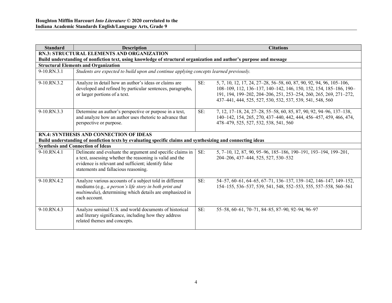| <b>Standard</b>                                                                                                                                         | <b>Description</b>                                                                                                                                                                                                    | <b>Citations</b>                                                                                                                                                                                                                                                                   |  |  |  |
|---------------------------------------------------------------------------------------------------------------------------------------------------------|-----------------------------------------------------------------------------------------------------------------------------------------------------------------------------------------------------------------------|------------------------------------------------------------------------------------------------------------------------------------------------------------------------------------------------------------------------------------------------------------------------------------|--|--|--|
|                                                                                                                                                         | <b>RN.3: STRUCTURAL ELEMENTS AND ORGANIZATION</b>                                                                                                                                                                     |                                                                                                                                                                                                                                                                                    |  |  |  |
|                                                                                                                                                         | Build understanding of nonfiction text, using knowledge of structural organization and author's purpose and message                                                                                                   |                                                                                                                                                                                                                                                                                    |  |  |  |
|                                                                                                                                                         | <b>Structural Elements and Organization</b>                                                                                                                                                                           |                                                                                                                                                                                                                                                                                    |  |  |  |
| $9-10$ . RN. 3.1                                                                                                                                        | Students are expected to build upon and continue applying concepts learned previously.                                                                                                                                |                                                                                                                                                                                                                                                                                    |  |  |  |
| 9-10.RN.3.2                                                                                                                                             | Analyze in detail how an author's ideas or claims are<br>developed and refined by particular sentences, paragraphs,<br>or larger portions of a text.                                                                  | SE:<br>5, 7, 10, 12, 17, 24, 27–28, 56–58, 60, 87, 90, 92, 94, 96, 105–106,<br>108-109, 112, 136-137, 140-142, 146, 150, 152, 154, 185-186, 190-<br>191, 194, 199-202, 204-206, 251, 253-254, 260, 265, 269, 271-272,<br>437-441, 444, 525, 527, 530, 532, 537, 539, 541, 548, 560 |  |  |  |
| 9-10.RN.3.3                                                                                                                                             | Determine an author's perspective or purpose in a text,<br>and analyze how an author uses rhetoric to advance that<br>perspective or purpose.                                                                         | SE:<br>7, 12, 17-18, 24, 27-28, 55-58, 60, 85, 87, 90, 92, 94-96, 137-138,<br>140-142, 154, 265, 270, 437-440, 442, 444, 456-457, 459, 466, 474,<br>478-479, 525, 527, 532, 538, 541, 560                                                                                          |  |  |  |
|                                                                                                                                                         | <b>RN.4: SYNTHESIS AND CONNECTION OF IDEAS</b>                                                                                                                                                                        |                                                                                                                                                                                                                                                                                    |  |  |  |
| Build understanding of nonfiction texts by evaluating specific claims and synthesizing and connecting ideas<br><b>Synthesis and Connection of Ideas</b> |                                                                                                                                                                                                                       |                                                                                                                                                                                                                                                                                    |  |  |  |
| 9-10.RN.4.1                                                                                                                                             | Delineate and evaluate the argument and specific claims in<br>a text, assessing whether the reasoning is valid and the<br>evidence is relevant and sufficient; identify false<br>statements and fallacious reasoning. | SE:<br>5, 7-10, 12, 87, 90, 95-96, 185-186, 190-191, 193-194, 199-201,<br>204-206, 437-444, 525, 527, 530-532                                                                                                                                                                      |  |  |  |
| 9-10.RN.4.2                                                                                                                                             | Analyze various accounts of a subject told in different<br>mediums (e.g., a person's life story in both print and<br>multimedia), determining which details are emphasized in<br>each account.                        | SE:<br>54-57, 60-61, 64-65, 67-71, 136-137, 139-142, 146-147, 149-152,<br>154-155, 536-537, 539, 541, 548, 552-553, 555, 557-558, 560-561                                                                                                                                          |  |  |  |
| 9-10.RN.4.3                                                                                                                                             | Analyze seminal U.S. and world documents of historical<br>and literary significance, including how they address<br>related themes and concepts.                                                                       | SE:<br>55-58, 60-61, 70-71, 84-85, 87-90, 92-94, 96-97                                                                                                                                                                                                                             |  |  |  |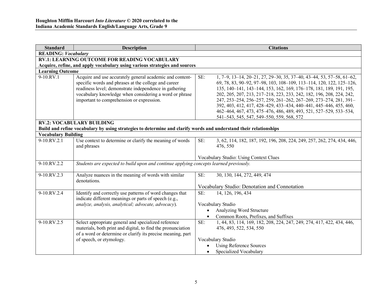| <b>Standard</b>            | <b>Description</b>                                                                                                                                                                                                                                                                | <b>Citations</b>                                                                                                                                                                                                                                                                                                                                                                                                                                                                                                                                            |  |  |  |
|----------------------------|-----------------------------------------------------------------------------------------------------------------------------------------------------------------------------------------------------------------------------------------------------------------------------------|-------------------------------------------------------------------------------------------------------------------------------------------------------------------------------------------------------------------------------------------------------------------------------------------------------------------------------------------------------------------------------------------------------------------------------------------------------------------------------------------------------------------------------------------------------------|--|--|--|
| <b>READING: Vocabulary</b> |                                                                                                                                                                                                                                                                                   |                                                                                                                                                                                                                                                                                                                                                                                                                                                                                                                                                             |  |  |  |
|                            | <b>RV.1: LEARNING OUTCOME FOR READING VOCABULARY</b>                                                                                                                                                                                                                              |                                                                                                                                                                                                                                                                                                                                                                                                                                                                                                                                                             |  |  |  |
|                            | Acquire, refine, and apply vocabulary using various strategies and sources                                                                                                                                                                                                        |                                                                                                                                                                                                                                                                                                                                                                                                                                                                                                                                                             |  |  |  |
| <b>Learning Outcome</b>    |                                                                                                                                                                                                                                                                                   |                                                                                                                                                                                                                                                                                                                                                                                                                                                                                                                                                             |  |  |  |
| 9-10.RV.1                  | Acquire and use accurately general academic and content-<br>specific words and phrases at the college and career<br>readiness level; demonstrate independence in gathering<br>vocabulary knowledge when considering a word or phrase<br>important to comprehension or expression. | SE:<br>1, 7–9, 13–14, 20–21, 27, 29–30, 35, 37–40, 43–44, 53, 57–58, 61–62,<br>69, 78, 83, 90-92, 97-98, 103, 108-109, 113-114, 120, 122, 125-126,<br>135, 140-141, 143-144, 153, 162, 169, 176-178, 181, 189, 191, 195,<br>202, 205, 207, 213, 217-218, 223, 233, 242, 182, 196, 208, 224, 242,<br>247, 253-254, 256-257, 259, 261-262, 267-269, 273-274, 281, 391-<br>392, 403, 412, 417, 428-429, 433-434, 440-441, 445-446, 455, 460,<br>462-464, 467, 473, 475-476, 486, 489, 493, 521, 527-529, 533-534,<br>541-543, 545, 547, 549-550, 559, 568, 572 |  |  |  |
|                            | <b>RV.2: VOCABULARY BUILDING</b>                                                                                                                                                                                                                                                  |                                                                                                                                                                                                                                                                                                                                                                                                                                                                                                                                                             |  |  |  |
|                            | Build and refine vocabulary by using strategies to determine and clarify words and understand their relationships                                                                                                                                                                 |                                                                                                                                                                                                                                                                                                                                                                                                                                                                                                                                                             |  |  |  |
| <b>Vocabulary Building</b> |                                                                                                                                                                                                                                                                                   |                                                                                                                                                                                                                                                                                                                                                                                                                                                                                                                                                             |  |  |  |
| 9-10.RV.2.1                | Use context to determine or clarify the meaning of words<br>and phrases                                                                                                                                                                                                           | SE:<br>3, 62, 114, 182, 187, 192, 196, 208, 224, 249, 257, 262, 274, 434, 446,<br>476, 550                                                                                                                                                                                                                                                                                                                                                                                                                                                                  |  |  |  |
|                            |                                                                                                                                                                                                                                                                                   | Vocabulary Studio: Using Context Clues                                                                                                                                                                                                                                                                                                                                                                                                                                                                                                                      |  |  |  |
| 9-10.RV.2.2                | Students are expected to build upon and continue applying concepts learned previously.                                                                                                                                                                                            |                                                                                                                                                                                                                                                                                                                                                                                                                                                                                                                                                             |  |  |  |
| 9-10.RV.2.3                | Analyze nuances in the meaning of words with similar<br>denotations.                                                                                                                                                                                                              | SE:<br>30, 130, 144, 272, 449, 474                                                                                                                                                                                                                                                                                                                                                                                                                                                                                                                          |  |  |  |
|                            |                                                                                                                                                                                                                                                                                   | Vocabulary Studio: Denotation and Connotation                                                                                                                                                                                                                                                                                                                                                                                                                                                                                                               |  |  |  |
| 9-10.RV.2.4                | Identify and correctly use patterns of word changes that<br>indicate different meanings or parts of speech (e.g.,<br>analyze, analysis, analytical; advocate, advocacy).                                                                                                          | SE:<br>14, 126, 196, 434<br>Vocabulary Studio<br>Analyzing Word Structure<br>$\bullet$<br>Common Roots, Prefixes, and Suffixes                                                                                                                                                                                                                                                                                                                                                                                                                              |  |  |  |
| 9-10.RV.2.5                | Select appropriate general and specialized reference<br>materials, both print and digital, to find the pronunciation<br>of a word or determine or clarify its precise meaning, part<br>of speech, or etymology.                                                                   | 1, 44, 83, 114, 169, 182, 208, 224, 247, 249, 274, 417, 422, 434, 446,<br>SE:<br>476, 493, 522, 534, 550<br>Vocabulary Studio<br><b>Using Reference Sources</b><br>$\bullet$<br>Specialized Vocabulary<br>$\bullet$                                                                                                                                                                                                                                                                                                                                         |  |  |  |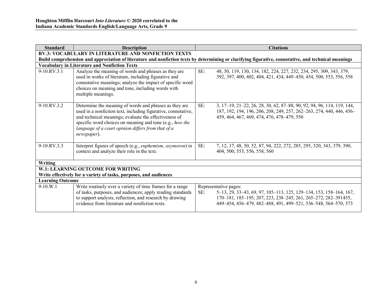| <b>Standard</b>         | <b>Description</b>                                                                                                                                                                                                                                                                                                | <b>Citations</b>                                                                                                                                                                                                                       |  |  |  |
|-------------------------|-------------------------------------------------------------------------------------------------------------------------------------------------------------------------------------------------------------------------------------------------------------------------------------------------------------------|----------------------------------------------------------------------------------------------------------------------------------------------------------------------------------------------------------------------------------------|--|--|--|
|                         | <b>RV.3: VOCABULARY IN LITERATURE AND NONFICTION TEXTS</b>                                                                                                                                                                                                                                                        |                                                                                                                                                                                                                                        |  |  |  |
|                         |                                                                                                                                                                                                                                                                                                                   | Build comprehension and appreciation of literature and nonfiction texts by determining or clarifying figurative, connotative, and technical meanings                                                                                   |  |  |  |
|                         | <b>Vocabulary in Literature and Nonfiction Texts</b>                                                                                                                                                                                                                                                              |                                                                                                                                                                                                                                        |  |  |  |
| $9-10$ . RV. $3.1$      | Analyze the meaning of words and phrases as they are<br>used in works of literature, including figurative and<br>connotative meanings; analyze the impact of specific word<br>choices on meaning and tone, including words with<br>multiple meanings.                                                             | SE:<br>48, 50, 119, 130, 134, 182, 224, 227, 232, 234, 295, 309, 343, 379,<br>392, 397, 400, 402, 404, 421, 434, 449–450, 454, 500, 553, 556, 558                                                                                      |  |  |  |
| $9-10$ RV 3.2           | Determine the meaning of words and phrases as they are<br>used in a nonfiction text, including figurative, connotative,<br>and technical meanings; evaluate the effectiveness of<br>specific word choices on meaning and tone (e.g., how the<br>language of a court opinion differs from that of a<br>newspaper). | SE:<br>3, 17-19, 21-22, 26, 28, 30, 62, 87-88, 90, 92, 94, 96, 114, 119, 144,<br>187, 192, 194, 196, 206, 208, 249, 257, 262-263, 274, 440, 446, 456-<br>459, 464, 467, 469, 474, 476, 478-479, 550                                    |  |  |  |
| 9-10.RV.3.3             | Interpret figures of speech (e.g., <i>euphemism</i> , <i>oxymoron</i> ) in<br>context and analyze their role in the text.                                                                                                                                                                                         | SE:<br>7, 12, 17, 48, 50, 52, 87, 94, 222, 272, 285, 295, 320, 343, 379, 390,<br>404, 500, 553, 556, 558, 560                                                                                                                          |  |  |  |
| Writing                 |                                                                                                                                                                                                                                                                                                                   |                                                                                                                                                                                                                                        |  |  |  |
|                         | W.1: LEARNING OUTCOME FOR WRITING                                                                                                                                                                                                                                                                                 |                                                                                                                                                                                                                                        |  |  |  |
|                         | Write effectively for a variety of tasks, purposes, and audiences                                                                                                                                                                                                                                                 |                                                                                                                                                                                                                                        |  |  |  |
| <b>Learning Outcome</b> |                                                                                                                                                                                                                                                                                                                   |                                                                                                                                                                                                                                        |  |  |  |
| $9-10.W.1$              | Write routinely over a variety of time frames for a range<br>of tasks, purposes, and audiences; apply reading standards<br>to support analysis, reflection, and research by drawing<br>evidence from literature and nonfiction texts.                                                                             | Representative pages:<br>SE:<br>5-13, 29, 33-43, 69, 97, 105-113, 125, 129-134, 153, 158-164, 167,<br>170-181, 185-195, 207, 223, 238-245, 261, 265-272, 282-391455,<br>449-454, 456-479, 482-488, 491, 499-521, 536-548, 564-570, 573 |  |  |  |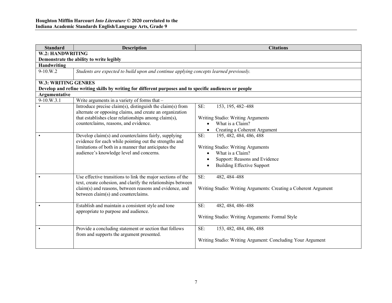| <b>Standard</b>            | <b>Description</b>                                                                                      | <b>Citations</b>                                                |  |
|----------------------------|---------------------------------------------------------------------------------------------------------|-----------------------------------------------------------------|--|
| W.2: HANDWRITING           |                                                                                                         |                                                                 |  |
|                            | Demonstrate the ability to write legibly                                                                |                                                                 |  |
| <b>Handwriting</b>         |                                                                                                         |                                                                 |  |
| 9-10.W.2                   | Students are expected to build upon and continue applying concepts learned previously.                  |                                                                 |  |
|                            |                                                                                                         |                                                                 |  |
| <b>W.3: WRITING GENRES</b> |                                                                                                         |                                                                 |  |
| Argumentative              | Develop and refine writing skills by writing for different purposes and to specific audiences or people |                                                                 |  |
| 9-10.W.3.1                 | Write arguments in a variety of forms that -                                                            |                                                                 |  |
|                            | Introduce precise claim(s), distinguish the claim(s) from                                               | SE:<br>153, 195, 482-488                                        |  |
|                            | alternate or opposing claims, and create an organization                                                |                                                                 |  |
|                            | that establishes clear relationships among claim(s),                                                    | Writing Studio: Writing Arguments                               |  |
|                            | counterclaims, reasons, and evidence.                                                                   | What is a Claim?<br>$\bullet$                                   |  |
|                            |                                                                                                         | Creating a Coherent Argument<br>$\bullet$                       |  |
|                            | Develop claim(s) and counterclaims fairly, supplying                                                    | SE:<br>195, 482, 484, 486, 488                                  |  |
|                            | evidence for each while pointing out the strengths and                                                  |                                                                 |  |
|                            | limitations of both in a manner that anticipates the                                                    | Writing Studio: Writing Arguments                               |  |
|                            | audience's knowledge level and concerns.                                                                | What is a Claim?<br>$\bullet$                                   |  |
|                            |                                                                                                         | Support: Reasons and Evidence<br>$\bullet$                      |  |
|                            |                                                                                                         | <b>Building Effective Support</b><br>$\bullet$                  |  |
|                            |                                                                                                         |                                                                 |  |
|                            | Use effective transitions to link the major sections of the                                             | SE:<br>482, 484-488                                             |  |
|                            | text, create cohesion, and clarify the relationships between                                            |                                                                 |  |
|                            | claim(s) and reasons, between reasons and evidence, and                                                 | Writing Studio: Writing Arguments: Creating a Coherent Argument |  |
|                            | between claim(s) and counterclaims.                                                                     |                                                                 |  |
|                            |                                                                                                         |                                                                 |  |
| $\bullet$                  | Establish and maintain a consistent style and tone                                                      | SE:<br>482, 484, 486-488                                        |  |
|                            | appropriate to purpose and audience.                                                                    |                                                                 |  |
|                            |                                                                                                         | Writing Studio: Writing Arguments: Formal Style                 |  |
|                            | Provide a concluding statement or section that follows                                                  | SE:<br>153, 482, 484, 486, 488                                  |  |
|                            | from and supports the argument presented.                                                               |                                                                 |  |
|                            |                                                                                                         | Writing Studio: Writing Argument: Concluding Your Argument      |  |
|                            |                                                                                                         |                                                                 |  |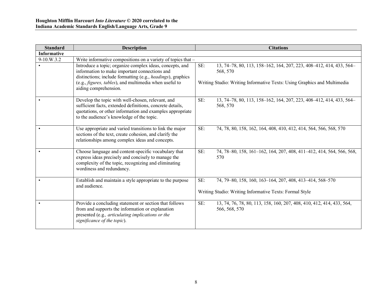| <b>Standard</b>    | <b>Description</b>                                                                                                                                                                                                                                          | <b>Citations</b>                                                                                                                                                   |  |
|--------------------|-------------------------------------------------------------------------------------------------------------------------------------------------------------------------------------------------------------------------------------------------------------|--------------------------------------------------------------------------------------------------------------------------------------------------------------------|--|
| <b>Informative</b> |                                                                                                                                                                                                                                                             |                                                                                                                                                                    |  |
| 9-10.W.3.2         | Write informative compositions on a variety of topics that -                                                                                                                                                                                                |                                                                                                                                                                    |  |
|                    | Introduce a topic; organize complex ideas, concepts, and<br>information to make important connections and<br>distinctions; include formatting (e.g., headings), graphics<br>(e.g., figures, tables), and multimedia when useful to<br>aiding comprehension. | SE:<br>13, 74-78, 80, 113, 158-162, 164, 207, 223, 408-412, 414, 433, 564-<br>568, 570<br>Writing Studio: Writing Informative Texts: Using Graphics and Multimedia |  |
|                    | Develop the topic with well-chosen, relevant, and<br>sufficient facts, extended definitions, concrete details,<br>quotations, or other information and examples appropriate<br>to the audience's knowledge of the topic.                                    | 13, 74-78, 80, 113, 158-162, 164, 207, 223, 408-412, 414, 433, 564-<br>SE:<br>568, 570                                                                             |  |
|                    | Use appropriate and varied transitions to link the major<br>sections of the text, create cohesion, and clarify the<br>relationships among complex ideas and concepts.                                                                                       | SE:<br>74, 78, 80, 158, 162, 164, 408, 410, 412, 414, 564, 566, 568, 570                                                                                           |  |
|                    | Choose language and content-specific vocabulary that<br>express ideas precisely and concisely to manage the<br>complexity of the topic, recognizing and eliminating<br>wordiness and redundancy.                                                            | 74, 78-80, 158, 161-162, 164, 207, 408, 411-412, 414, 564, 566, 568,<br>SE:<br>570                                                                                 |  |
|                    | Establish and maintain a style appropriate to the purpose<br>and audience.                                                                                                                                                                                  | SE:<br>74, 79–80, 158, 160, 163–164, 207, 408, 413–414, 568–570<br>Writing Studio: Writing Informative Texts: Formal Style                                         |  |
|                    | Provide a concluding statement or section that follows<br>from and supports the information or explanation<br>presented (e.g., articulating implications or the<br>significance of the topic).                                                              | SE:<br>13, 74, 76, 78, 80, 113, 158, 160, 207, 408, 410, 412, 414, 433, 564,<br>566, 568, 570                                                                      |  |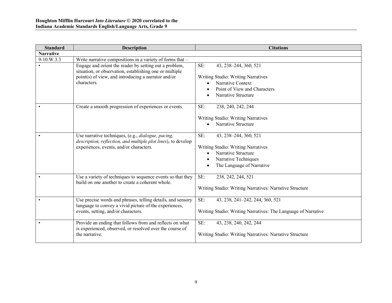| <b>Standard</b>  | <b>Description</b>                                                                                                    | <b>Citations</b>                                                                                            |
|------------------|-----------------------------------------------------------------------------------------------------------------------|-------------------------------------------------------------------------------------------------------------|
| <b>Narrative</b> |                                                                                                                       |                                                                                                             |
| 9-10.W.3.3       | Write narrative compositions in a variety of forms that -                                                             |                                                                                                             |
|                  | Engage and orient the reader by setting out a problem,<br>situation, or observation, establishing one or multiple     | SE:<br>43, 238-244, 360, 521                                                                                |
|                  | point(s) of view, and introducing a narrator and/or<br>characters.                                                    | Writing Studio: Writing Narratives<br>Narrative Context                                                     |
|                  |                                                                                                                       | Point of View and Characters<br>Narrative Structure<br>$\bullet$                                            |
|                  | Create a smooth progression of experiences or events.                                                                 | SE:<br>238, 240, 242, 244                                                                                   |
|                  |                                                                                                                       | Writing Studio: Writing Narratives<br>Narrative Structure                                                   |
|                  | Use narrative techniques, (e.g., dialogue, pacing,<br>description, reflection, and multiple plot lines), to develop   | SE:<br>43, 238-244, 360, 521                                                                                |
|                  | experiences, events, and/or characters.                                                                               | Writing Studio: Writing Narratives<br>Narrative Structure<br>$\bullet$<br>Narrative Techniques<br>$\bullet$ |
|                  |                                                                                                                       | The Language of Narrative                                                                                   |
|                  | Use a variety of techniques to sequence events so that they<br>build on one another to create a coherent whole.       | SE:<br>238, 242, 244, 521                                                                                   |
|                  |                                                                                                                       | Writing Studio: Writing Narratives: Narrative Structure                                                     |
|                  | Use precise words and phrases, telling details, and sensory<br>language to convey a vivid picture of the experiences, | SE:<br>43, 238, 241-242, 244, 360, 521                                                                      |
|                  | events, setting, and/or characters.                                                                                   | Writing Studio: Writing Narratives: The Language of Narrative                                               |
| $\bullet$        | Provide an ending that follows from and reflects on what<br>is experienced, observed, or resolved over the course of  | SE:<br>43, 238, 240, 242, 244                                                                               |
|                  | the narrative.                                                                                                        | Writing Studio: Writing Narratives: Narrative Structure                                                     |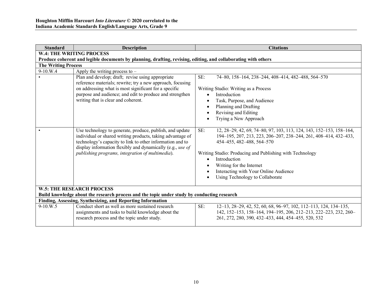| <b>Standard</b>                                                                                                                 | <b>Description</b>                                                                                                                                                                                                                                                                                    | <b>Citations</b>                                                                                                                                                                                                                         |  |  |  |
|---------------------------------------------------------------------------------------------------------------------------------|-------------------------------------------------------------------------------------------------------------------------------------------------------------------------------------------------------------------------------------------------------------------------------------------------------|------------------------------------------------------------------------------------------------------------------------------------------------------------------------------------------------------------------------------------------|--|--|--|
|                                                                                                                                 | <b>W.4: THE WRITING PROCESS</b>                                                                                                                                                                                                                                                                       |                                                                                                                                                                                                                                          |  |  |  |
|                                                                                                                                 | Produce coherent and legible documents by planning, drafting, revising, editing, and collaborating with others                                                                                                                                                                                        |                                                                                                                                                                                                                                          |  |  |  |
| <b>The Writing Process</b>                                                                                                      |                                                                                                                                                                                                                                                                                                       |                                                                                                                                                                                                                                          |  |  |  |
| 9-10.W.4                                                                                                                        | Apply the writing process to $-$                                                                                                                                                                                                                                                                      |                                                                                                                                                                                                                                          |  |  |  |
|                                                                                                                                 | Plan and develop; draft; revise using appropriate<br>reference materials; rewrite; try a new approach, focusing<br>on addressing what is most significant for a specific<br>purpose and audience; and edit to produce and strengthen<br>writing that is clear and coherent.                           | SE:<br>74-80, 158-164, 238-244, 408-414, 482-488, 564-570<br>Writing Studio: Writing as a Process<br>Introduction<br>$\bullet$<br>Task, Purpose, and Audience<br>$\bullet$<br>Planning and Drafting<br>$\bullet$<br>Revising and Editing |  |  |  |
|                                                                                                                                 |                                                                                                                                                                                                                                                                                                       | Trying a New Approach                                                                                                                                                                                                                    |  |  |  |
|                                                                                                                                 | Use technology to generate, produce, publish, and update<br>individual or shared writing products, taking advantage of<br>technology's capacity to link to other information and to<br>display information flexibly and dynamically (e.g., use of<br>publishing programs, integration of multimedia). | SE:<br>12, 28–29, 42, 69, 74–80, 97, 103, 113, 124, 143, 152–153, 158–164,<br>194-195, 207, 213, 223, 206-207, 238-244, 261, 408-414, 432-433,<br>454–455, 482–488, 564–570<br>Writing Studio: Producing and Publishing with Technology  |  |  |  |
|                                                                                                                                 |                                                                                                                                                                                                                                                                                                       | Introduction<br>$\bullet$                                                                                                                                                                                                                |  |  |  |
|                                                                                                                                 |                                                                                                                                                                                                                                                                                                       | Writing for the Internet                                                                                                                                                                                                                 |  |  |  |
|                                                                                                                                 |                                                                                                                                                                                                                                                                                                       | Interacting with Your Online Audience                                                                                                                                                                                                    |  |  |  |
|                                                                                                                                 |                                                                                                                                                                                                                                                                                                       | Using Technology to Collaborate                                                                                                                                                                                                          |  |  |  |
|                                                                                                                                 |                                                                                                                                                                                                                                                                                                       |                                                                                                                                                                                                                                          |  |  |  |
| <b>W.5: THE RESEARCH PROCESS</b><br>Build knowledge about the research process and the topic under study by conducting research |                                                                                                                                                                                                                                                                                                       |                                                                                                                                                                                                                                          |  |  |  |
| Finding, Assessing, Synthesizing, and Reporting Information                                                                     |                                                                                                                                                                                                                                                                                                       |                                                                                                                                                                                                                                          |  |  |  |
| $9-10$ .W.5                                                                                                                     | Conduct short as well as more sustained research<br>assignments and tasks to build knowledge about the<br>research process and the topic under study.                                                                                                                                                 | SE:<br>12-13, 28-29, 42, 52, 60, 68, 96-97, 102, 112-113, 124, 134-135,<br>142, 152-153, 158-164, 194-195, 206, 212-213, 222-223, 232, 260-<br>261, 272, 280, 390, 432-433, 444, 454-455, 520, 532                                       |  |  |  |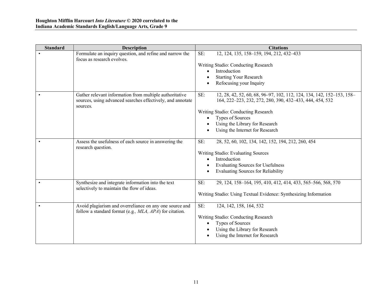| <b>Standard</b> | <b>Description</b>                                                                                                                | <b>Citations</b>                                                                                                                                                                                                                                                         |
|-----------------|-----------------------------------------------------------------------------------------------------------------------------------|--------------------------------------------------------------------------------------------------------------------------------------------------------------------------------------------------------------------------------------------------------------------------|
|                 | Formulate an inquiry question, and refine and narrow the<br>focus as research evolves.                                            | 12, 124, 135, 158-159, 194, 212, 432-433<br>SE:<br>Writing Studio: Conducting Research<br>Introduction<br>$\bullet$<br><b>Starting Your Research</b><br>Refocusing your Inquiry                                                                                          |
|                 | Gather relevant information from multiple authoritative<br>sources, using advanced searches effectively, and annotate<br>sources. | SE:<br>12, 28, 42, 52, 60, 68, 96-97, 102, 112, 124, 134, 142, 152-153, 158-<br>164, 222-223, 232, 272, 280, 390, 432-433, 444, 454, 532<br>Writing Studio: Conducting Research<br>Types of Sources<br>Using the Library for Research<br>Using the Internet for Research |
|                 | Assess the usefulness of each source in answering the<br>research question.                                                       | SE:<br>28, 52, 60, 102, 134, 142, 152, 194, 212, 260, 454<br>Writing Studio: Evaluating Sources<br>Introduction<br>$\bullet$<br><b>Evaluating Sources for Usefulness</b><br><b>Evaluating Sources for Reliability</b>                                                    |
|                 | Synthesize and integrate information into the text<br>selectively to maintain the flow of ideas.                                  | 29, 124, 158-164, 195, 410, 412, 414, 433, 565-566, 568, 570<br>SE:<br>Writing Studio: Using Textual Evidence: Synthesizing Information                                                                                                                                  |
|                 | Avoid plagiarism and overreliance on any one source and<br>follow a standard format (e.g., MLA, APA) for citation.                | SE:<br>124, 142, 158, 164, 532<br>Writing Studio: Conducting Research<br><b>Types of Sources</b><br>$\bullet$<br>Using the Library for Research<br>Using the Internet for Research                                                                                       |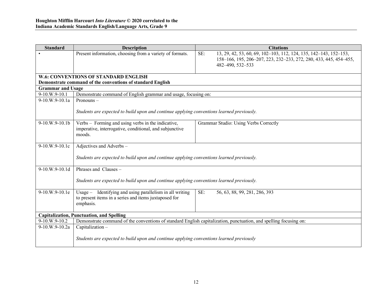| <b>Standard</b>                                  | <b>Description</b>                                                                                                             | <b>Citations</b>                                                                                                                                                  |  |
|--------------------------------------------------|--------------------------------------------------------------------------------------------------------------------------------|-------------------------------------------------------------------------------------------------------------------------------------------------------------------|--|
|                                                  | Present information, choosing from a variety of formats.                                                                       | 13, 29, 42, 53, 60, 69, 102-103, 112, 124, 135, 142-143, 152-153,<br>SE:<br>158-166, 195, 206-207, 223, 232-233, 272, 280, 433, 445, 454-455,<br>482-490, 532-533 |  |
|                                                  | <b>W.6: CONVENTIONS OF STANDARD ENGLISH</b>                                                                                    |                                                                                                                                                                   |  |
|                                                  | Demonstrate command of the conventions of standard English                                                                     |                                                                                                                                                                   |  |
| <b>Grammar and Usage</b>                         |                                                                                                                                |                                                                                                                                                                   |  |
| 9-10.W.9-10.1                                    | Demonstrate command of English grammar and usage, focusing on:                                                                 |                                                                                                                                                                   |  |
| 9-10.W.9-10.1a                                   | Pronouns $-$                                                                                                                   |                                                                                                                                                                   |  |
|                                                  | Students are expected to build upon and continue applying conventions learned previously.                                      |                                                                                                                                                                   |  |
| 9-10.W.9-10.1b                                   | Verbs - Forming and using verbs in the indicative,<br>imperative, interrogative, conditional, and subjunctive<br>moods.        | Grammar Studio: Using Verbs Correctly                                                                                                                             |  |
| 9-10.W.9-10.1c                                   | Adjectives and Adverbs -                                                                                                       |                                                                                                                                                                   |  |
|                                                  | Students are expected to build upon and continue applying conventions learned previously.                                      |                                                                                                                                                                   |  |
| 9-10.W.9-10.1d                                   | Phrases and Clauses -                                                                                                          |                                                                                                                                                                   |  |
|                                                  | Students are expected to build upon and continue applying conventions learned previously.                                      |                                                                                                                                                                   |  |
| 9-10.W.9-10.1e                                   | Usage - Identifying and using parallelism in all writing<br>to present items in a series and items juxtaposed for<br>emphasis. | SE:<br>56, 63, 88, 99, 281, 286, 393                                                                                                                              |  |
| <b>Capitalization, Punctuation, and Spelling</b> |                                                                                                                                |                                                                                                                                                                   |  |
| 9-10.W.9-10.2                                    | Demonstrate command of the conventions of standard English capitalization, punctuation, and spelling focusing on:              |                                                                                                                                                                   |  |
| 9-10.W.9-10.2a                                   | Capitalization-                                                                                                                |                                                                                                                                                                   |  |
|                                                  | Students are expected to build upon and continue applying conventions learned previously                                       |                                                                                                                                                                   |  |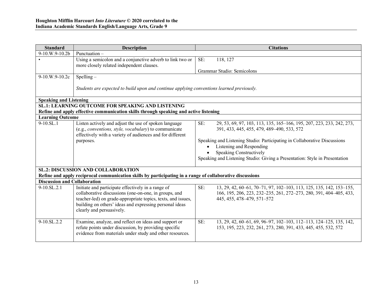| <b>Standard</b>                                          | <b>Description</b>                                                                                                                                                                                                                                                  | <b>Citations</b>                                                                                                                                                                                                                                                                                                                                           |  |  |  |
|----------------------------------------------------------|---------------------------------------------------------------------------------------------------------------------------------------------------------------------------------------------------------------------------------------------------------------------|------------------------------------------------------------------------------------------------------------------------------------------------------------------------------------------------------------------------------------------------------------------------------------------------------------------------------------------------------------|--|--|--|
| 9-10.W.9-10.2b                                           | Punctuation-                                                                                                                                                                                                                                                        |                                                                                                                                                                                                                                                                                                                                                            |  |  |  |
|                                                          | Using a semicolon and a conjunctive adverb to link two or<br>more closely related independent clauses.                                                                                                                                                              | 118, 127<br>SE:<br>Grammar Studio: Semicolons                                                                                                                                                                                                                                                                                                              |  |  |  |
| 9-10.W.9-10.2c                                           | $Spelling -$                                                                                                                                                                                                                                                        |                                                                                                                                                                                                                                                                                                                                                            |  |  |  |
|                                                          | Students are expected to build upon and continue applying conventions learned previously.                                                                                                                                                                           |                                                                                                                                                                                                                                                                                                                                                            |  |  |  |
| <b>Speaking and Listening</b>                            |                                                                                                                                                                                                                                                                     |                                                                                                                                                                                                                                                                                                                                                            |  |  |  |
| <b>SL.1: LEARNING OUTCOME FOR SPEAKING AND LISTENING</b> |                                                                                                                                                                                                                                                                     |                                                                                                                                                                                                                                                                                                                                                            |  |  |  |
|                                                          | Refine and apply effective communication skills through speaking and active listening                                                                                                                                                                               |                                                                                                                                                                                                                                                                                                                                                            |  |  |  |
| <b>Learning Outcome</b>                                  |                                                                                                                                                                                                                                                                     |                                                                                                                                                                                                                                                                                                                                                            |  |  |  |
| $9-10.SL.1$                                              | Listen actively and adjust the use of spoken language<br>(e.g., <i>conventions, style, vocabulary</i> ) to communicate<br>effectively with a variety of audiences and for different<br>purposes.                                                                    | SE:<br>29, 53, 69, 97, 103, 113, 135, 165–166, 195, 207, 223, 233, 242, 273,<br>391, 433, 445, 455, 479, 489-490, 533, 572<br>Speaking and Listening Studio: Participating in Collaborative Discussions<br>Listening and Responding<br>$\bullet$<br>Speaking Constructively<br>Speaking and Listening Studio: Giving a Presentation: Style in Presentation |  |  |  |
|                                                          | <b>SL.2: DISCUSSION AND COLLABORATION</b>                                                                                                                                                                                                                           |                                                                                                                                                                                                                                                                                                                                                            |  |  |  |
|                                                          | Refine and apply reciprocal communication skills by participating in a range of collaborative discussions                                                                                                                                                           |                                                                                                                                                                                                                                                                                                                                                            |  |  |  |
| <b>Discussion and Collaboration</b>                      |                                                                                                                                                                                                                                                                     |                                                                                                                                                                                                                                                                                                                                                            |  |  |  |
| $9-10.SL.2.1$                                            | Initiate and participate effectively in a range of<br>collaborative discussions (one-on-one, in groups, and<br>teacher-led) on grade-appropriate topics, texts, and issues,<br>building on others' ideas and expressing personal ideas<br>clearly and persuasively. | SE:<br>13, 29, 42, 60–61, 70–71, 97, 102–103, 113, 125, 135, 142, 153–155,<br>166, 195, 206, 223, 232-235, 261, 272-273, 280, 391, 404-405, 433,<br>445, 455, 478-479, 571-572                                                                                                                                                                             |  |  |  |
| $9-10.SL.2.2$                                            | Examine, analyze, and reflect on ideas and support or<br>refute points under discussion, by providing specific<br>evidence from materials under study and other resources.                                                                                          | SE:<br>13, 29, 42, 60–61, 69, 96–97, 102–103, 112–113, 124–125, 135, 142,<br>153, 195, 223, 232, 261, 273, 280, 391, 433, 445, 455, 532, 572                                                                                                                                                                                                               |  |  |  |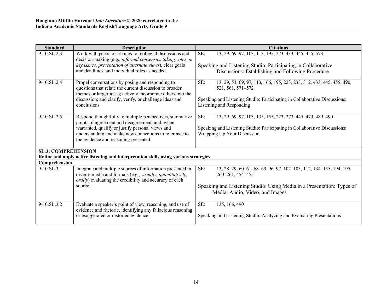| <b>Standard</b>                                                                                       | <b>Description</b>                                                                                                                                                                                                                                                 | <b>Citations</b>                                                                                                                                                                                            |  |  |  |
|-------------------------------------------------------------------------------------------------------|--------------------------------------------------------------------------------------------------------------------------------------------------------------------------------------------------------------------------------------------------------------------|-------------------------------------------------------------------------------------------------------------------------------------------------------------------------------------------------------------|--|--|--|
| $9-10.SL.2.3$                                                                                         | Work with peers to set rules for collegial discussions and<br>decision-making (e.g., informal consensus, taking votes on<br>key issues, presentation of alternate views), clear goals<br>and deadlines, and individual roles as needed.                            | 13, 29, 69, 97, 103, 113, 195, 273, 433, 445, 455, 573<br>SE:<br>Speaking and Listening Studio: Participating in Collaborative<br>Discussions: Establishing and Following Procedure                         |  |  |  |
| $9-10$ .SL.2.4                                                                                        | Propel conversations by posing and responding to<br>questions that relate the current discussion to broader<br>themes or larger ideas; actively incorporate others into the<br>discussion; and clarify, verify, or challenge ideas and<br>conclusions.             | SE:<br>13, 29, 53, 69, 97, 113, 166, 195, 223, 233, 312, 433, 445, 455, 490,<br>521, 561, 571–572<br>Speaking and Listening Studio: Participating in Collaborative Discussions:<br>Listening and Responding |  |  |  |
| $9-10$ .SL.2.5                                                                                        | Respond thoughtfully to multiple perspectives, summarize<br>points of agreement and disagreement, and, when<br>warranted, qualify or justify personal views and<br>understanding and make new connections in reference to<br>the evidence and reasoning presented. | SE:<br>13, 29, 69, 97, 103, 135, 155, 223, 273, 445, 479, 489–490<br>Speaking and Listening Studio: Participating in Collaborative Discussions:<br>Wrapping Up Your Discussion                              |  |  |  |
| <b>SL.3: COMPREHENSION</b>                                                                            |                                                                                                                                                                                                                                                                    |                                                                                                                                                                                                             |  |  |  |
| Refine and apply active listening and interpretation skills using various strategies<br>Comprehension |                                                                                                                                                                                                                                                                    |                                                                                                                                                                                                             |  |  |  |
| 9-10.SL.3.1                                                                                           | Integrate and multiple sources of information presented in<br>diverse media and formats (e.g., visually, quantitatively,<br><i>orally</i> ) evaluating the credibility and accuracy of each                                                                        | SE:<br>13, 28–29, 60–61, 68–69, 96–97, 102–103, 112, 134–135, 194–195,<br>260-261, 454-455                                                                                                                  |  |  |  |
|                                                                                                       | source.                                                                                                                                                                                                                                                            | Speaking and Listening Studio: Using Media in a Presentation: Types of<br>Media: Audio, Video, and Images                                                                                                   |  |  |  |
| $9-10$ .SL.3.2                                                                                        | Evaluate a speaker's point of view, reasoning, and use of<br>evidence and rhetoric, identifying any fallacious reasoning<br>or exaggerated or distorted evidence.                                                                                                  | SE:<br>135, 166, 490<br>Speaking and Listening Studio: Analyzing and Evaluating Presentations                                                                                                               |  |  |  |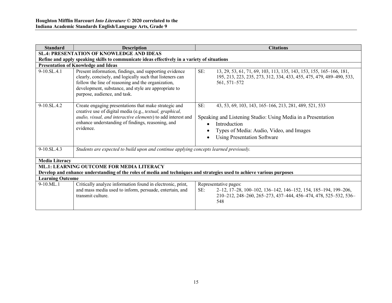| <b>Standard</b>                                                                                                        | <b>Description</b>                                                                                                                                                                                                                                                | <b>Citations</b>                                                                                                                                                                                                                                                       |  |  |  |  |  |
|------------------------------------------------------------------------------------------------------------------------|-------------------------------------------------------------------------------------------------------------------------------------------------------------------------------------------------------------------------------------------------------------------|------------------------------------------------------------------------------------------------------------------------------------------------------------------------------------------------------------------------------------------------------------------------|--|--|--|--|--|
|                                                                                                                        | <b>SL.4: PRESENTATION OF KNOWLEDGE AND IDEAS</b>                                                                                                                                                                                                                  |                                                                                                                                                                                                                                                                        |  |  |  |  |  |
| Refine and apply speaking skills to communicate ideas effectively in a variety of situations                           |                                                                                                                                                                                                                                                                   |                                                                                                                                                                                                                                                                        |  |  |  |  |  |
| <b>Presentation of Knowledge and Ideas</b>                                                                             |                                                                                                                                                                                                                                                                   |                                                                                                                                                                                                                                                                        |  |  |  |  |  |
| $9-10$ .SL.4.1                                                                                                         | Present information, findings, and supporting evidence<br>clearly, concisely, and logically such that listeners can<br>follow the line of reasoning and the organization,<br>development, substance, and style are appropriate to<br>purpose, audience, and task. | SE:<br>13, 29, 53, 61, 71, 69, 103, 113, 135, 143, 153, 155, 165–166, 181,<br>195, 213, 223, 235, 273, 312, 334, 433, 455, 475, 479, 489-490, 533,<br>561, 571–572                                                                                                     |  |  |  |  |  |
| $9-10$ .SL.4.2                                                                                                         | Create engaging presentations that make strategic and<br>creative use of digital media (e.g., textual, graphical,<br>audio, visual, and interactive elements) to add interest and<br>enhance understanding of findings, reasoning, and<br>evidence.               | SE:<br>43, 53, 69, 103, 143, 165–166, 213, 281, 489, 521, 533<br>Speaking and Listening Studio: Using Media in a Presentation<br>Introduction<br>$\bullet$<br>Types of Media: Audio, Video, and Images<br>$\bullet$<br><b>Using Presentation Software</b><br>$\bullet$ |  |  |  |  |  |
| 9-10.SL.4.3                                                                                                            | Students are expected to build upon and continue applying concepts learned previously.                                                                                                                                                                            |                                                                                                                                                                                                                                                                        |  |  |  |  |  |
| <b>Media Literacy</b>                                                                                                  |                                                                                                                                                                                                                                                                   |                                                                                                                                                                                                                                                                        |  |  |  |  |  |
|                                                                                                                        | <b>ML.1: LEARNING OUTCOME FOR MEDIA LITERACY</b>                                                                                                                                                                                                                  |                                                                                                                                                                                                                                                                        |  |  |  |  |  |
| Develop and enhance understanding of the roles of media and techniques and strategies used to achieve various purposes |                                                                                                                                                                                                                                                                   |                                                                                                                                                                                                                                                                        |  |  |  |  |  |
| <b>Learning Outcome</b>                                                                                                |                                                                                                                                                                                                                                                                   |                                                                                                                                                                                                                                                                        |  |  |  |  |  |
| $9-10$ .ML.1                                                                                                           | Critically analyze information found in electronic, print,<br>and mass media used to inform, persuade, entertain, and<br>transmit culture.                                                                                                                        | Representative pages:<br>SE:<br>2–12, 17–28, 100–102, 136–142, 146–152, 154, 185–194, 199–206,<br>210-212, 248-260, 265-273, 437-444, 456-474, 478, 525-532, 536-<br>548                                                                                               |  |  |  |  |  |